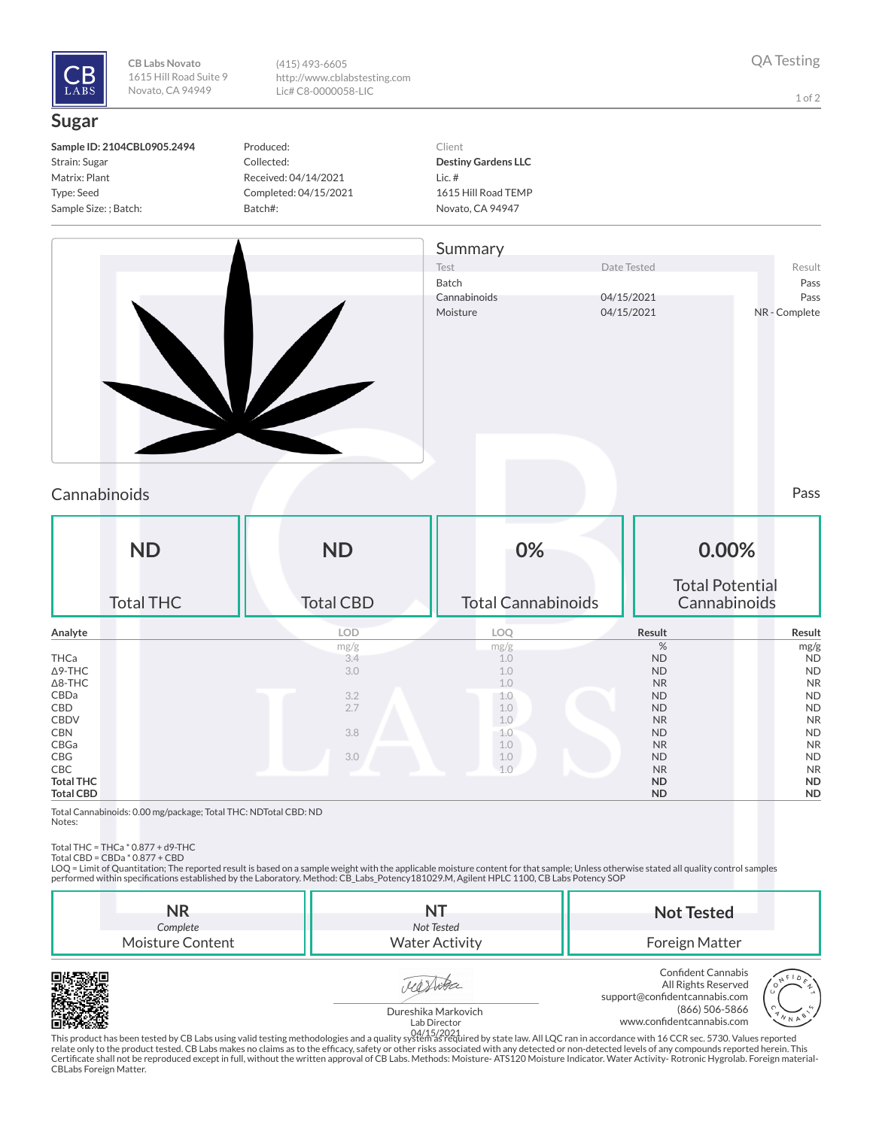

**CB Labs Novato** 1615 Hill Road Suite 9 Novato, CA 94949

(415) 493-6605 http://www.cblabstesting.com Lic# C8-0000058-LIC

1 of 2

## **Sugar**

| Sample ID: 2104CBL0905.2494 |
|-----------------------------|
| Strain: Sugar               |
| Matrix: Plant               |
| Type: Seed                  |
| Sample Size: ; Batch:       |

Produced: Collected: Received: 04/14/2021 Completed: 04/15/2021 Batch#:

Client **Destiny Gardens LLC** Lic. # 1615 Hill Road TEMP Novato, CA 94947



## Cannabinoids Pass

| <b>ND</b><br><b>Total THC</b> | <b>ND</b><br><b>Total CBD</b> | 0%<br><b>Total Cannabinoids</b> | 0.00%<br><b>Total Potential</b><br>Cannabinoids |           |
|-------------------------------|-------------------------------|---------------------------------|-------------------------------------------------|-----------|
|                               |                               |                                 |                                                 |           |
| Analyte                       | <b>LOD</b>                    | LOQ                             | Result                                          | Result    |
|                               | mg/g                          | mg/g                            | %                                               | mg/g      |
| THCa                          | 3.4                           | 1.0                             | <b>ND</b>                                       | <b>ND</b> |
| $\Delta$ 9-THC                | 3.0                           | 1.0                             | <b>ND</b>                                       | <b>ND</b> |
| $\Delta$ 8-THC                |                               | 1.0                             | <b>NR</b>                                       | <b>NR</b> |
| CBDa                          | 3.2                           | 1.0                             | <b>ND</b>                                       | <b>ND</b> |
| CBD                           | 2.7                           | 1.0                             | <b>ND</b>                                       | <b>ND</b> |
| CBDV                          |                               | 1.0                             | <b>NR</b>                                       | <b>NR</b> |
| <b>CBN</b>                    | 3.8                           | 1.0                             | <b>ND</b>                                       | <b>ND</b> |
| CBGa                          |                               | 1.0                             | <b>NR</b>                                       | <b>NR</b> |
| CBG                           | 3.0                           | 1.0                             | <b>ND</b>                                       | <b>ND</b> |
| CBC                           |                               | 1.0                             | <b>NR</b>                                       | <b>NR</b> |
| <b>Total THC</b>              |                               |                                 | <b>ND</b>                                       | <b>ND</b> |
| <b>Total CBD</b>              |                               |                                 | <b>ND</b>                                       | <b>ND</b> |

Total Cannabinoids: 0.00 mg/package; Total THC: NDTotal CBD: ND Notes:

Total THC = THCa \* 0.877 + d9-THC Total CBD = CBDa \* 0.877 + CBD

LOQ = Limit of Quantitation; The reported result is based on a sample weight with the applicable moisture content for that sample; Unless otherwise stated all quality control samples performed within specifications established by the Laboratory. Method: CB\_Labs\_Potency181029.M, Agilent HPLC 1100, CB Labs Potency SOP

| NR<br>Complete   | Not Tested            | <b>Not Tested</b>                                                                            |
|------------------|-----------------------|----------------------------------------------------------------------------------------------|
| Moisture Content | <b>Water Activity</b> | Foreign Matter                                                                               |
|                  |                       | Confident Cannabis<br>F <sub>0</sub><br>All Rights Reserved<br>support@confidentcannabis.com |







This product has been tested by CB Labs using valid testing methodologies and a quality system as required by state law. All LQC ran in accordance with 16 CCR sec. 5730. Values reported 04/15/2021relate only to the product tested. CB Labs makes no claims as to the efcacy, safety or other risks associated with any detected or non-detected levels of any compounds reported herein. This Certificate shall not be reproduced except in full, without the written approval of CB Labs. Methods: Moisture- ATS120 Moisture Indicator. Water Activity- Rotronic Hygrolab. Foreign material-<br>CBLabs Foreign Matter.

(866) 506-5866

www.confidentcannabis.com